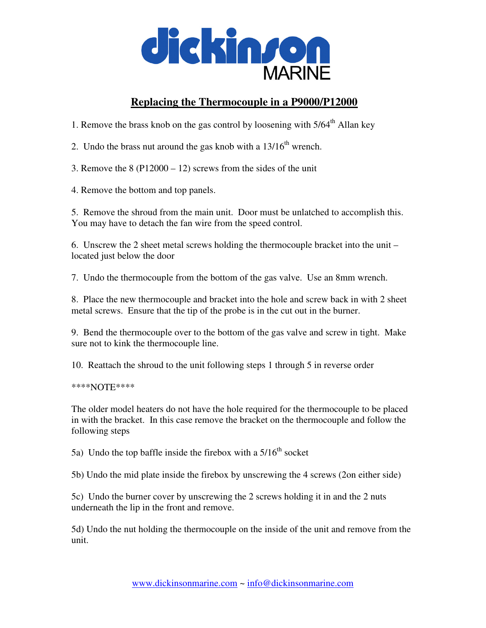

## **Replacing the Thermocouple in a P9000/P12000**

1. Remove the brass knob on the gas control by loosening with  $5/64<sup>th</sup>$  Allan key

2. Undo the brass nut around the gas knob with a  $13/16<sup>th</sup>$  wrench.

3. Remove the  $8(P12000 - 12)$  screws from the sides of the unit

4. Remove the bottom and top panels.

5. Remove the shroud from the main unit. Door must be unlatched to accomplish this. You may have to detach the fan wire from the speed control.

6. Unscrew the 2 sheet metal screws holding the thermocouple bracket into the unit – located just below the door

7. Undo the thermocouple from the bottom of the gas valve. Use an 8mm wrench.

8. Place the new thermocouple and bracket into the hole and screw back in with 2 sheet metal screws. Ensure that the tip of the probe is in the cut out in the burner.

9. Bend the thermocouple over to the bottom of the gas valve and screw in tight. Make sure not to kink the thermocouple line.

10. Reattach the shroud to the unit following steps 1 through 5 in reverse order

\*\*\*\*NOTE\*\*\*\*

The older model heaters do not have the hole required for the thermocouple to be placed in with the bracket. In this case remove the bracket on the thermocouple and follow the following steps

5a) Undo the top baffle inside the firebox with a  $5/16<sup>th</sup>$  socket

5b) Undo the mid plate inside the firebox by unscrewing the 4 screws (2on either side)

5c) Undo the burner cover by unscrewing the 2 screws holding it in and the 2 nuts underneath the lip in the front and remove.

5d) Undo the nut holding the thermocouple on the inside of the unit and remove from the unit.